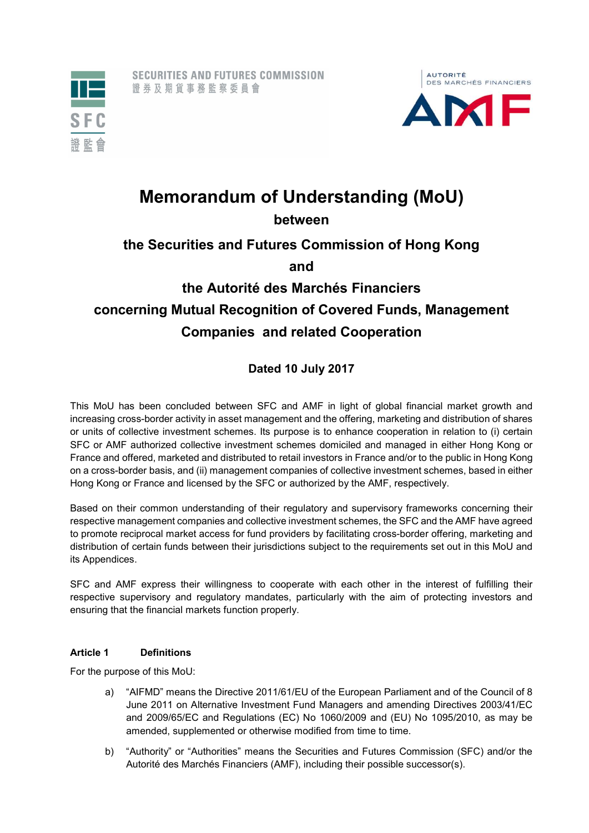



# Memorandum of Understanding (MoU)

between

# the Securities and Futures Commission of Hong Kong

and

# the Autorité des Marchés Financiers concerning Mutual Recognition of Covered Funds, Management Companies and related Cooperation

### Dated 10 July 2017

This MoU has been concluded between SFC and AMF in light of global financial market growth and increasing cross-border activity in asset management and the offering, marketing and distribution of shares or units of collective investment schemes. Its purpose is to enhance cooperation in relation to (i) certain SFC or AMF authorized collective investment schemes domiciled and managed in either Hong Kong or France and offered, marketed and distributed to retail investors in France and/or to the public in Hong Kong on a cross-border basis, and (ii) management companies of collective investment schemes, based in either Hong Kong or France and licensed by the SFC or authorized by the AMF, respectively.

Based on their common understanding of their regulatory and supervisory frameworks concerning their respective management companies and collective investment schemes, the SFC and the AMF have agreed to promote reciprocal market access for fund providers by facilitating cross-border offering, marketing and distribution of certain funds between their jurisdictions subject to the requirements set out in this MoU and its Appendices.

SFC and AMF express their willingness to cooperate with each other in the interest of fulfilling their respective supervisory and regulatory mandates, particularly with the aim of protecting investors and ensuring that the financial markets function properly.

#### Article 1 Definitions

For the purpose of this MoU:

- a) "AIFMD" means the Directive 2011/61/EU of the European Parliament and of the Council of 8 June 2011 on Alternative Investment Fund Managers and amending Directives 2003/41/EC and 2009/65/EC and Regulations (EC) No 1060/2009 and (EU) No 1095/2010, as may be amended, supplemented or otherwise modified from time to time.
- b) "Authority" or "Authorities" means the Securities and Futures Commission (SFC) and/or the Autorité des Marchés Financiers (AMF), including their possible successor(s).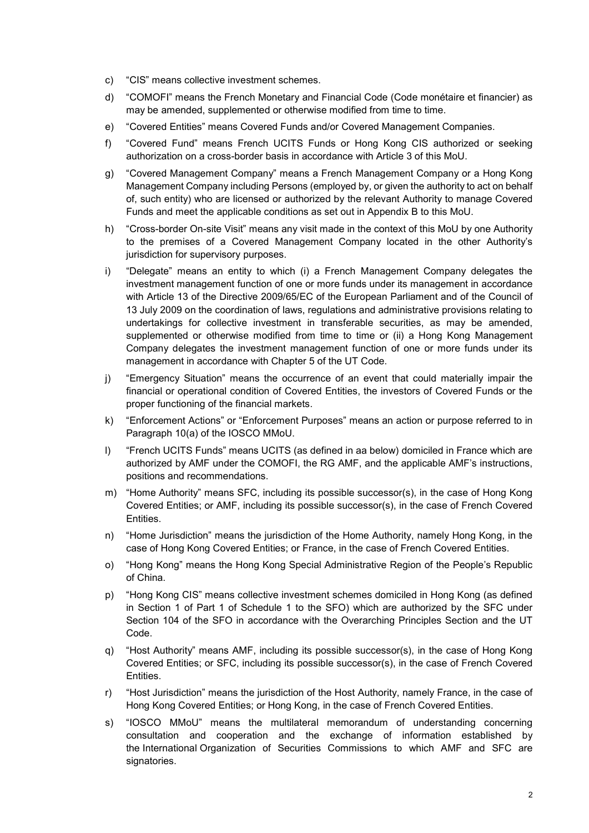- c) "CIS" means collective investment schemes.
- d) "COMOFI" means the French Monetary and Financial Code (Code monétaire et financier) as may be amended, supplemented or otherwise modified from time to time.
- e) "Covered Entities" means Covered Funds and/or Covered Management Companies.
- f) "Covered Fund" means French UCITS Funds or Hong Kong CIS authorized or seeking authorization on a cross-border basis in accordance with Article 3 of this MoU.
- g) "Covered Management Company" means a French Management Company or a Hong Kong Management Company including Persons (employed by, or given the authority to act on behalf of, such entity) who are licensed or authorized by the relevant Authority to manage Covered Funds and meet the applicable conditions as set out in Appendix B to this MoU.
- h) "Cross-border On-site Visit" means any visit made in the context of this MoU by one Authority to the premises of a Covered Management Company located in the other Authority's jurisdiction for supervisory purposes.
- i) "Delegate" means an entity to which (i) a French Management Company delegates the investment management function of one or more funds under its management in accordance with Article 13 of the Directive 2009/65/EC of the European Parliament and of the Council of 13 July 2009 on the coordination of laws, regulations and administrative provisions relating to undertakings for collective investment in transferable securities, as may be amended, supplemented or otherwise modified from time to time or (ii) a Hong Kong Management Company delegates the investment management function of one or more funds under its management in accordance with Chapter 5 of the UT Code.
- j) "Emergency Situation" means the occurrence of an event that could materially impair the financial or operational condition of Covered Entities, the investors of Covered Funds or the proper functioning of the financial markets.
- k) "Enforcement Actions" or "Enforcement Purposes" means an action or purpose referred to in Paragraph 10(a) of the IOSCO MMoU.
- l) "French UCITS Funds" means UCITS (as defined in aa below) domiciled in France which are authorized by AMF under the COMOFI, the RG AMF, and the applicable AMF's instructions, positions and recommendations.
- m) "Home Authority" means SFC, including its possible successor(s), in the case of Hong Kong Covered Entities; or AMF, including its possible successor(s), in the case of French Covered Entities.
- n) "Home Jurisdiction" means the jurisdiction of the Home Authority, namely Hong Kong, in the case of Hong Kong Covered Entities; or France, in the case of French Covered Entities.
- o) "Hong Kong" means the Hong Kong Special Administrative Region of the People's Republic of China.
- p) "Hong Kong CIS" means collective investment schemes domiciled in Hong Kong (as defined in Section 1 of Part 1 of Schedule 1 to the SFO) which are authorized by the SFC under Section 104 of the SFO in accordance with the Overarching Principles Section and the UT Code.
- q) "Host Authority" means AMF, including its possible successor(s), in the case of Hong Kong Covered Entities; or SFC, including its possible successor(s), in the case of French Covered Entities.
- r) "Host Jurisdiction" means the jurisdiction of the Host Authority, namely France, in the case of Hong Kong Covered Entities; or Hong Kong, in the case of French Covered Entities.
- s) "IOSCO MMoU" means the multilateral memorandum of understanding concerning consultation and cooperation and the exchange of information established by the International Organization of Securities Commissions to which AMF and SFC are signatories.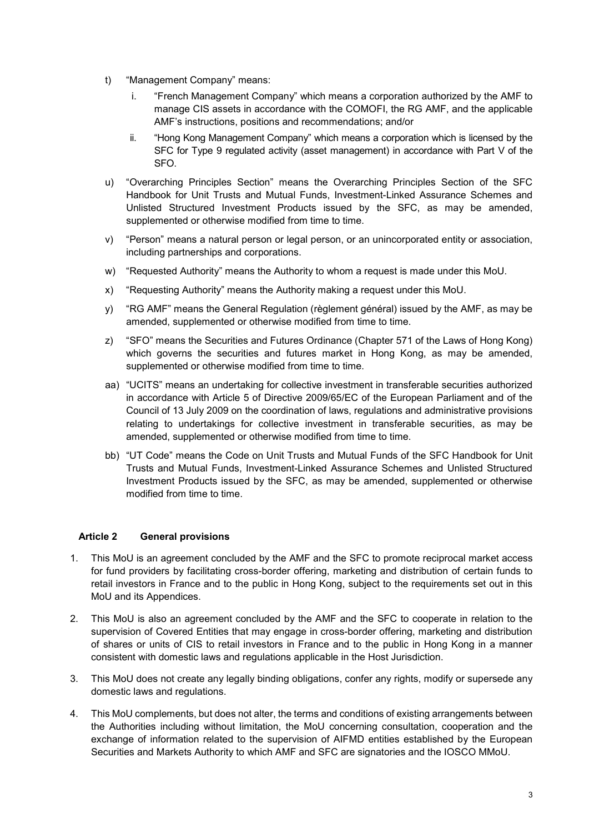- t) "Management Company" means:
	- i. "French Management Company" which means a corporation authorized by the AMF to manage CIS assets in accordance with the COMOFI, the RG AMF, and the applicable AMF's instructions, positions and recommendations; and/or
	- ii. "Hong Kong Management Company" which means a corporation which is licensed by the SFC for Type 9 regulated activity (asset management) in accordance with Part V of the SFO.
- u) "Overarching Principles Section" means the Overarching Principles Section of the SFC Handbook for Unit Trusts and Mutual Funds, Investment-Linked Assurance Schemes and Unlisted Structured Investment Products issued by the SFC, as may be amended, supplemented or otherwise modified from time to time.
- v) "Person" means a natural person or legal person, or an unincorporated entity or association, including partnerships and corporations.
- w) "Requested Authority" means the Authority to whom a request is made under this MoU.
- x) "Requesting Authority" means the Authority making a request under this MoU.
- y) "RG AMF" means the General Regulation (règlement général) issued by the AMF, as may be amended, supplemented or otherwise modified from time to time.
- z) "SFO" means the Securities and Futures Ordinance (Chapter 571 of the Laws of Hong Kong) which governs the securities and futures market in Hong Kong, as may be amended, supplemented or otherwise modified from time to time.
- aa) "UCITS" means an undertaking for collective investment in transferable securities authorized in accordance with Article 5 of Directive 2009/65/EC of the European Parliament and of the Council of 13 July 2009 on the coordination of laws, regulations and administrative provisions relating to undertakings for collective investment in transferable securities, as may be amended, supplemented or otherwise modified from time to time.
- bb) "UT Code" means the Code on Unit Trusts and Mutual Funds of the SFC Handbook for Unit Trusts and Mutual Funds, Investment-Linked Assurance Schemes and Unlisted Structured Investment Products issued by the SFC, as may be amended, supplemented or otherwise modified from time to time.

#### Article 2 General provisions

- 1. This MoU is an agreement concluded by the AMF and the SFC to promote reciprocal market access for fund providers by facilitating cross-border offering, marketing and distribution of certain funds to retail investors in France and to the public in Hong Kong, subject to the requirements set out in this MoU and its Appendices.
- 2. This MoU is also an agreement concluded by the AMF and the SFC to cooperate in relation to the supervision of Covered Entities that may engage in cross-border offering, marketing and distribution of shares or units of CIS to retail investors in France and to the public in Hong Kong in a manner consistent with domestic laws and regulations applicable in the Host Jurisdiction.
- 3. This MoU does not create any legally binding obligations, confer any rights, modify or supersede any domestic laws and regulations.
- 4. This MoU complements, but does not alter, the terms and conditions of existing arrangements between the Authorities including without limitation, the MoU concerning consultation, cooperation and the exchange of information related to the supervision of AIFMD entities established by the European Securities and Markets Authority to which AMF and SFC are signatories and the IOSCO MMoU.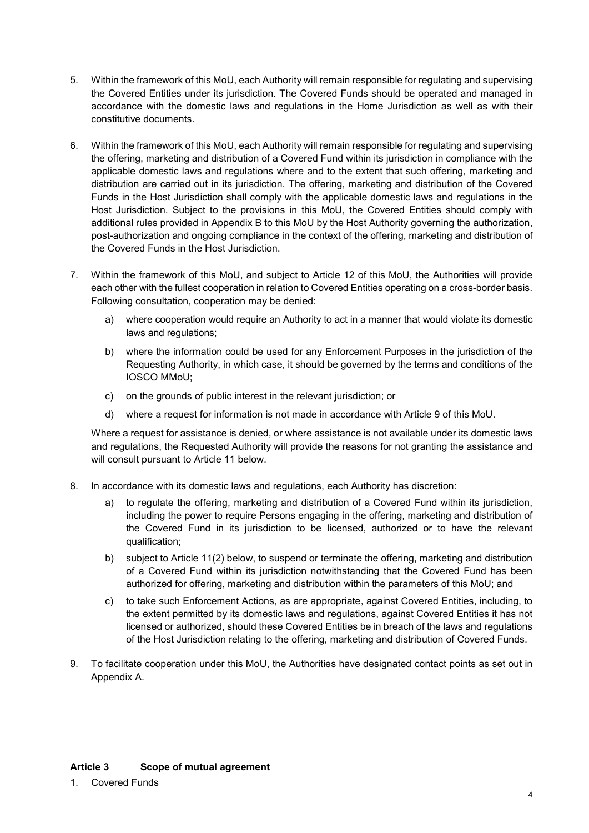- 5. Within the framework of this MoU, each Authority will remain responsible for regulating and supervising the Covered Entities under its jurisdiction. The Covered Funds should be operated and managed in accordance with the domestic laws and regulations in the Home Jurisdiction as well as with their constitutive documents.
- 6. Within the framework of this MoU, each Authority will remain responsible for regulating and supervising the offering, marketing and distribution of a Covered Fund within its jurisdiction in compliance with the applicable domestic laws and regulations where and to the extent that such offering, marketing and distribution are carried out in its jurisdiction. The offering, marketing and distribution of the Covered Funds in the Host Jurisdiction shall comply with the applicable domestic laws and regulations in the Host Jurisdiction. Subject to the provisions in this MoU, the Covered Entities should comply with additional rules provided in Appendix B to this MoU by the Host Authority governing the authorization, post-authorization and ongoing compliance in the context of the offering, marketing and distribution of the Covered Funds in the Host Jurisdiction.
- 7. Within the framework of this MoU, and subject to Article 12 of this MoU, the Authorities will provide each other with the fullest cooperation in relation to Covered Entities operating on a cross-border basis. Following consultation, cooperation may be denied:
	- a) where cooperation would require an Authority to act in a manner that would violate its domestic laws and regulations;
	- b) where the information could be used for any Enforcement Purposes in the jurisdiction of the Requesting Authority, in which case, it should be governed by the terms and conditions of the IOSCO MMoU;
	- c) on the grounds of public interest in the relevant jurisdiction; or
	- d) where a request for information is not made in accordance with Article 9 of this MoU.

Where a request for assistance is denied, or where assistance is not available under its domestic laws and regulations, the Requested Authority will provide the reasons for not granting the assistance and will consult pursuant to Article 11 below.

- 8. In accordance with its domestic laws and regulations, each Authority has discretion:
	- a) to regulate the offering, marketing and distribution of a Covered Fund within its jurisdiction, including the power to require Persons engaging in the offering, marketing and distribution of the Covered Fund in its jurisdiction to be licensed, authorized or to have the relevant qualification;
	- b) subject to Article 11(2) below, to suspend or terminate the offering, marketing and distribution of a Covered Fund within its jurisdiction notwithstanding that the Covered Fund has been authorized for offering, marketing and distribution within the parameters of this MoU; and
	- c) to take such Enforcement Actions, as are appropriate, against Covered Entities, including, to the extent permitted by its domestic laws and regulations, against Covered Entities it has not licensed or authorized, should these Covered Entities be in breach of the laws and regulations of the Host Jurisdiction relating to the offering, marketing and distribution of Covered Funds.
- 9. To facilitate cooperation under this MoU, the Authorities have designated contact points as set out in Appendix A.

1. Covered Funds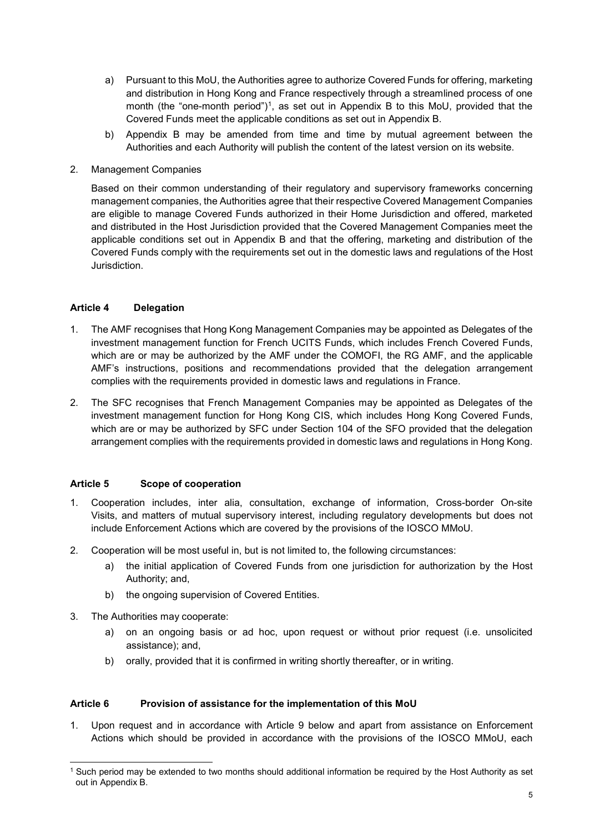- a) Pursuant to this MoU, the Authorities agree to authorize Covered Funds for offering, marketing and distribution in Hong Kong and France respectively through a streamlined process of one month (the "one-month period")<sup>1</sup>, as set out in Appendix B to this MoU, provided that the Covered Funds meet the applicable conditions as set out in Appendix B.
- b) Appendix B may be amended from time and time by mutual agreement between the Authorities and each Authority will publish the content of the latest version on its website.
- 2. Management Companies

Based on their common understanding of their regulatory and supervisory frameworks concerning management companies, the Authorities agree that their respective Covered Management Companies are eligible to manage Covered Funds authorized in their Home Jurisdiction and offered, marketed and distributed in the Host Jurisdiction provided that the Covered Management Companies meet the applicable conditions set out in Appendix B and that the offering, marketing and distribution of the Covered Funds comply with the requirements set out in the domestic laws and regulations of the Host Jurisdiction.

#### Article 4 Delegation

- 1. The AMF recognises that Hong Kong Management Companies may be appointed as Delegates of the investment management function for French UCITS Funds, which includes French Covered Funds, which are or may be authorized by the AMF under the COMOFI, the RG AMF, and the applicable AMF's instructions, positions and recommendations provided that the delegation arrangement complies with the requirements provided in domestic laws and regulations in France.
- 2. The SFC recognises that French Management Companies may be appointed as Delegates of the investment management function for Hong Kong CIS, which includes Hong Kong Covered Funds, which are or may be authorized by SFC under Section 104 of the SFO provided that the delegation arrangement complies with the requirements provided in domestic laws and regulations in Hong Kong.

#### Article 5 Scope of cooperation

- 1. Cooperation includes, inter alia, consultation, exchange of information, Cross-border On-site Visits, and matters of mutual supervisory interest, including regulatory developments but does not include Enforcement Actions which are covered by the provisions of the IOSCO MMoU.
- 2. Cooperation will be most useful in, but is not limited to, the following circumstances:
	- a) the initial application of Covered Funds from one jurisdiction for authorization by the Host Authority; and,
	- b) the ongoing supervision of Covered Entities.
- 3. The Authorities may cooperate:
	- a) on an ongoing basis or ad hoc, upon request or without prior request (i.e. unsolicited assistance); and,
	- b) orally, provided that it is confirmed in writing shortly thereafter, or in writing.

#### Article 6 Provision of assistance for the implementation of this MoU

1. Upon request and in accordance with Article 9 below and apart from assistance on Enforcement Actions which should be provided in accordance with the provisions of the IOSCO MMoU, each

<sup>-</sup>1 Such period may be extended to two months should additional information be required by the Host Authority as set out in Appendix B.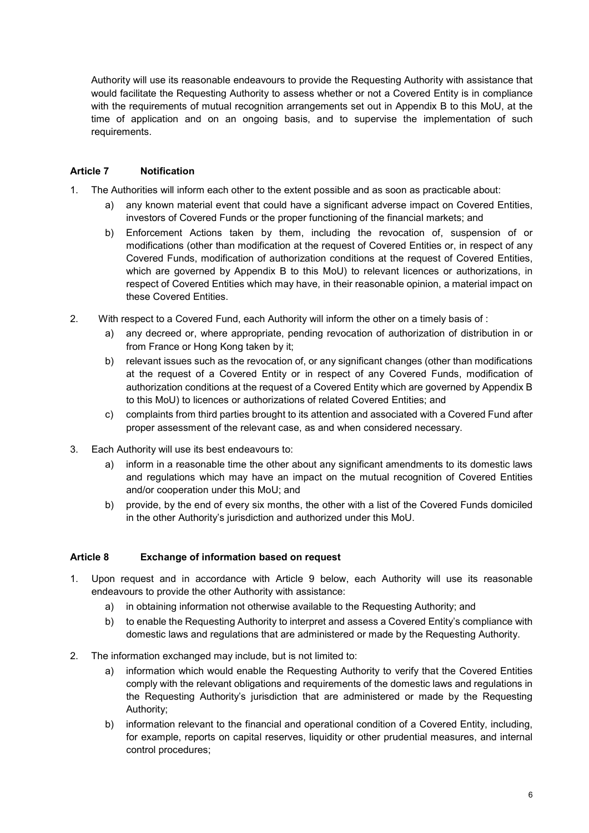Authority will use its reasonable endeavours to provide the Requesting Authority with assistance that would facilitate the Requesting Authority to assess whether or not a Covered Entity is in compliance with the requirements of mutual recognition arrangements set out in Appendix B to this MoU, at the time of application and on an ongoing basis, and to supervise the implementation of such requirements.

#### Article 7 Notification

- 1. The Authorities will inform each other to the extent possible and as soon as practicable about:
	- a) any known material event that could have a significant adverse impact on Covered Entities, investors of Covered Funds or the proper functioning of the financial markets; and
	- b) Enforcement Actions taken by them, including the revocation of, suspension of or modifications (other than modification at the request of Covered Entities or, in respect of any Covered Funds, modification of authorization conditions at the request of Covered Entities, which are governed by Appendix B to this MoU) to relevant licences or authorizations, in respect of Covered Entities which may have, in their reasonable opinion, a material impact on these Covered Entities.
- 2. With respect to a Covered Fund, each Authority will inform the other on a timely basis of :
	- a) any decreed or, where appropriate, pending revocation of authorization of distribution in or from France or Hong Kong taken by it;
	- b) relevant issues such as the revocation of, or any significant changes (other than modifications at the request of a Covered Entity or in respect of any Covered Funds, modification of authorization conditions at the request of a Covered Entity which are governed by Appendix B to this MoU) to licences or authorizations of related Covered Entities; and
	- c) complaints from third parties brought to its attention and associated with a Covered Fund after proper assessment of the relevant case, as and when considered necessary.
- 3. Each Authority will use its best endeavours to:
	- a) inform in a reasonable time the other about any significant amendments to its domestic laws and regulations which may have an impact on the mutual recognition of Covered Entities and/or cooperation under this MoU; and
	- b) provide, by the end of every six months, the other with a list of the Covered Funds domiciled in the other Authority's jurisdiction and authorized under this MoU.

#### Article 8 Exchange of information based on request

- 1. Upon request and in accordance with Article 9 below, each Authority will use its reasonable endeavours to provide the other Authority with assistance:
	- a) in obtaining information not otherwise available to the Requesting Authority; and
	- b) to enable the Requesting Authority to interpret and assess a Covered Entity's compliance with domestic laws and regulations that are administered or made by the Requesting Authority.
- 2. The information exchanged may include, but is not limited to:
	- a) information which would enable the Requesting Authority to verify that the Covered Entities comply with the relevant obligations and requirements of the domestic laws and regulations in the Requesting Authority's jurisdiction that are administered or made by the Requesting Authority;
	- b) information relevant to the financial and operational condition of a Covered Entity, including, for example, reports on capital reserves, liquidity or other prudential measures, and internal control procedures;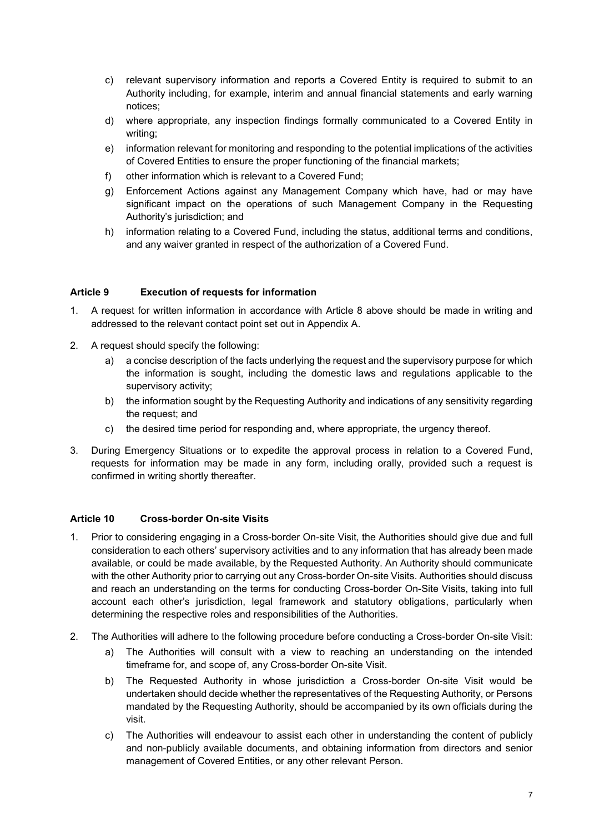- c) relevant supervisory information and reports a Covered Entity is required to submit to an Authority including, for example, interim and annual financial statements and early warning notices;
- d) where appropriate, any inspection findings formally communicated to a Covered Entity in writing;
- e) information relevant for monitoring and responding to the potential implications of the activities of Covered Entities to ensure the proper functioning of the financial markets;
- f) other information which is relevant to a Covered Fund;
- g) Enforcement Actions against any Management Company which have, had or may have significant impact on the operations of such Management Company in the Requesting Authority's jurisdiction; and
- h) information relating to a Covered Fund, including the status, additional terms and conditions, and any waiver granted in respect of the authorization of a Covered Fund.

#### Article 9 Execution of requests for information

- 1. A request for written information in accordance with Article 8 above should be made in writing and addressed to the relevant contact point set out in Appendix A.
- 2. A request should specify the following:
	- a) a concise description of the facts underlying the request and the supervisory purpose for which the information is sought, including the domestic laws and regulations applicable to the supervisory activity;
	- b) the information sought by the Requesting Authority and indications of any sensitivity regarding the request; and
	- c) the desired time period for responding and, where appropriate, the urgency thereof.
- 3. During Emergency Situations or to expedite the approval process in relation to a Covered Fund, requests for information may be made in any form, including orally, provided such a request is confirmed in writing shortly thereafter.

#### Article 10 Cross-border On-site Visits

- 1. Prior to considering engaging in a Cross-border On-site Visit, the Authorities should give due and full consideration to each others' supervisory activities and to any information that has already been made available, or could be made available, by the Requested Authority. An Authority should communicate with the other Authority prior to carrying out any Cross-border On-site Visits. Authorities should discuss and reach an understanding on the terms for conducting Cross-border On-Site Visits, taking into full account each other's jurisdiction, legal framework and statutory obligations, particularly when determining the respective roles and responsibilities of the Authorities.
- 2. The Authorities will adhere to the following procedure before conducting a Cross-border On-site Visit:
	- a) The Authorities will consult with a view to reaching an understanding on the intended timeframe for, and scope of, any Cross-border On-site Visit.
	- b) The Requested Authority in whose jurisdiction a Cross-border On-site Visit would be undertaken should decide whether the representatives of the Requesting Authority, or Persons mandated by the Requesting Authority, should be accompanied by its own officials during the visit.
	- c) The Authorities will endeavour to assist each other in understanding the content of publicly and non-publicly available documents, and obtaining information from directors and senior management of Covered Entities, or any other relevant Person.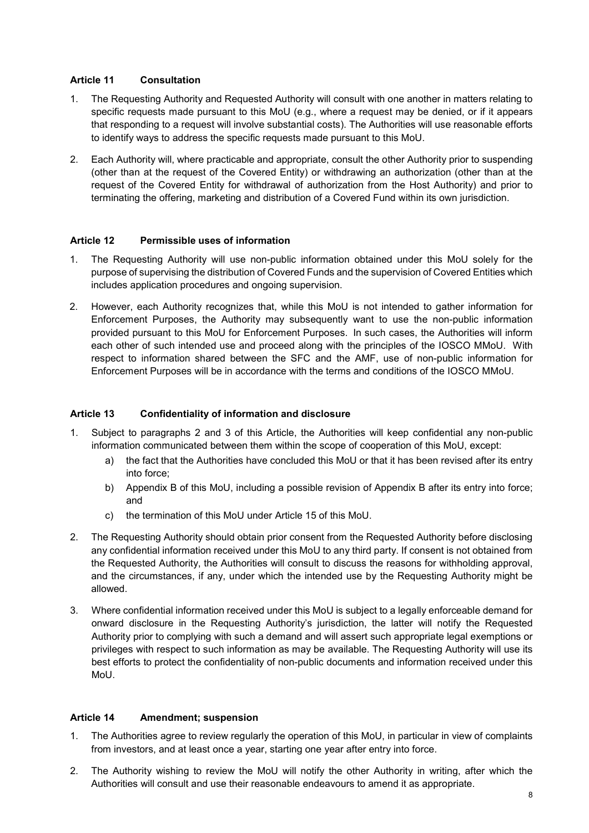#### Article 11 Consultation

- 1. The Requesting Authority and Requested Authority will consult with one another in matters relating to specific requests made pursuant to this MoU (e.g., where a request may be denied, or if it appears that responding to a request will involve substantial costs). The Authorities will use reasonable efforts to identify ways to address the specific requests made pursuant to this MoU.
- 2. Each Authority will, where practicable and appropriate, consult the other Authority prior to suspending (other than at the request of the Covered Entity) or withdrawing an authorization (other than at the request of the Covered Entity for withdrawal of authorization from the Host Authority) and prior to terminating the offering, marketing and distribution of a Covered Fund within its own jurisdiction.

#### Article 12 Permissible uses of information

- 1. The Requesting Authority will use non-public information obtained under this MoU solely for the purpose of supervising the distribution of Covered Funds and the supervision of Covered Entities which includes application procedures and ongoing supervision.
- 2. However, each Authority recognizes that, while this MoU is not intended to gather information for Enforcement Purposes, the Authority may subsequently want to use the non-public information provided pursuant to this MoU for Enforcement Purposes. In such cases, the Authorities will inform each other of such intended use and proceed along with the principles of the IOSCO MMoU. With respect to information shared between the SFC and the AMF, use of non-public information for Enforcement Purposes will be in accordance with the terms and conditions of the IOSCO MMoU.

#### Article 13 Confidentiality of information and disclosure

- 1. Subject to paragraphs 2 and 3 of this Article, the Authorities will keep confidential any non-public information communicated between them within the scope of cooperation of this MoU, except:
	- a) the fact that the Authorities have concluded this MoU or that it has been revised after its entry into force;
	- b) Appendix B of this MoU, including a possible revision of Appendix B after its entry into force; and
	- c) the termination of this MoU under Article 15 of this MoU.
- 2. The Requesting Authority should obtain prior consent from the Requested Authority before disclosing any confidential information received under this MoU to any third party. If consent is not obtained from the Requested Authority, the Authorities will consult to discuss the reasons for withholding approval, and the circumstances, if any, under which the intended use by the Requesting Authority might be allowed.
- 3. Where confidential information received under this MoU is subject to a legally enforceable demand for onward disclosure in the Requesting Authority's jurisdiction, the latter will notify the Requested Authority prior to complying with such a demand and will assert such appropriate legal exemptions or privileges with respect to such information as may be available. The Requesting Authority will use its best efforts to protect the confidentiality of non-public documents and information received under this MoU.

#### Article 14 Amendment; suspension

- 1. The Authorities agree to review regularly the operation of this MoU, in particular in view of complaints from investors, and at least once a year, starting one year after entry into force.
- 2. The Authority wishing to review the MoU will notify the other Authority in writing, after which the Authorities will consult and use their reasonable endeavours to amend it as appropriate.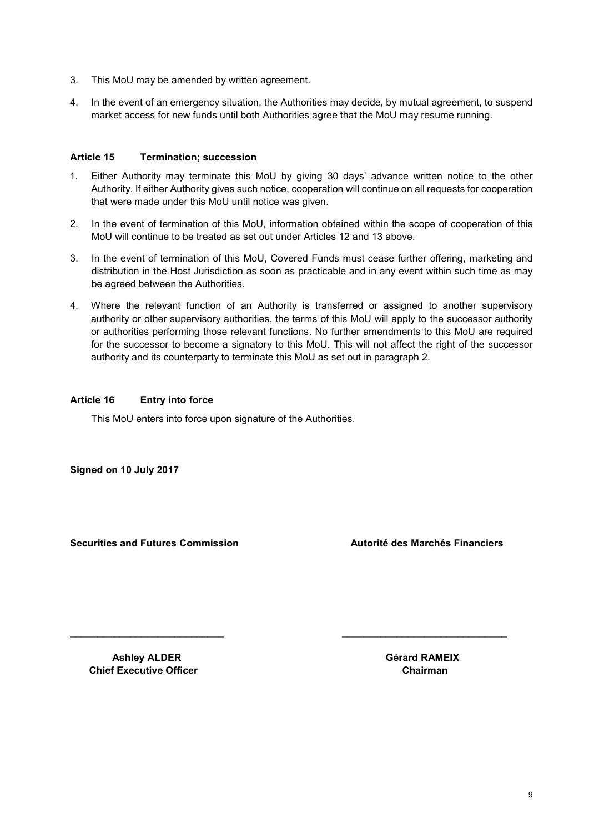- 3. This MoU may be amended by written agreement.
- 4. In the event of an emergency situation, the Authorities may decide, by mutual agreement, to suspend market access for new funds until both Authorities agree that the MoU may resume running.

#### Article 15 Termination; succession

- 1. Either Authority may terminate this MoU by giving 30 days' advance written notice to the other Authority. If either Authority gives such notice, cooperation will continue on all requests for cooperation that were made under this MoU until notice was given.
- 2. In the event of termination of this MoU, information obtained within the scope of cooperation of this MoU will continue to be treated as set out under Articles 12 and 13 above.
- 3. In the event of termination of this MoU, Covered Funds must cease further offering, marketing and distribution in the Host Jurisdiction as soon as practicable and in any event within such time as may be agreed between the Authorities.
- 4. Where the relevant function of an Authority is transferred or assigned to another supervisory authority or other supervisory authorities, the terms of this MoU will apply to the successor authority or authorities performing those relevant functions. No further amendments to this MoU are required for the successor to become a signatory to this MoU. This will not affect the right of the successor authority and its counterparty to terminate this MoU as set out in paragraph 2.

\_\_\_\_\_\_\_\_\_\_\_\_\_\_\_\_\_\_\_\_\_\_\_\_\_\_\_\_ \_\_\_\_\_\_\_\_\_\_\_\_\_\_\_\_\_\_\_\_\_\_\_\_\_\_\_\_\_\_

#### Article 16 Entry into force

This MoU enters into force upon signature of the Authorities.

Signed on 10 July 2017

Securities and Futures Commission **Autorité des Marchés Financiers** 

Ashley ALDER Gérard RAMEIX Chief Executive Officer Chairman Chairman